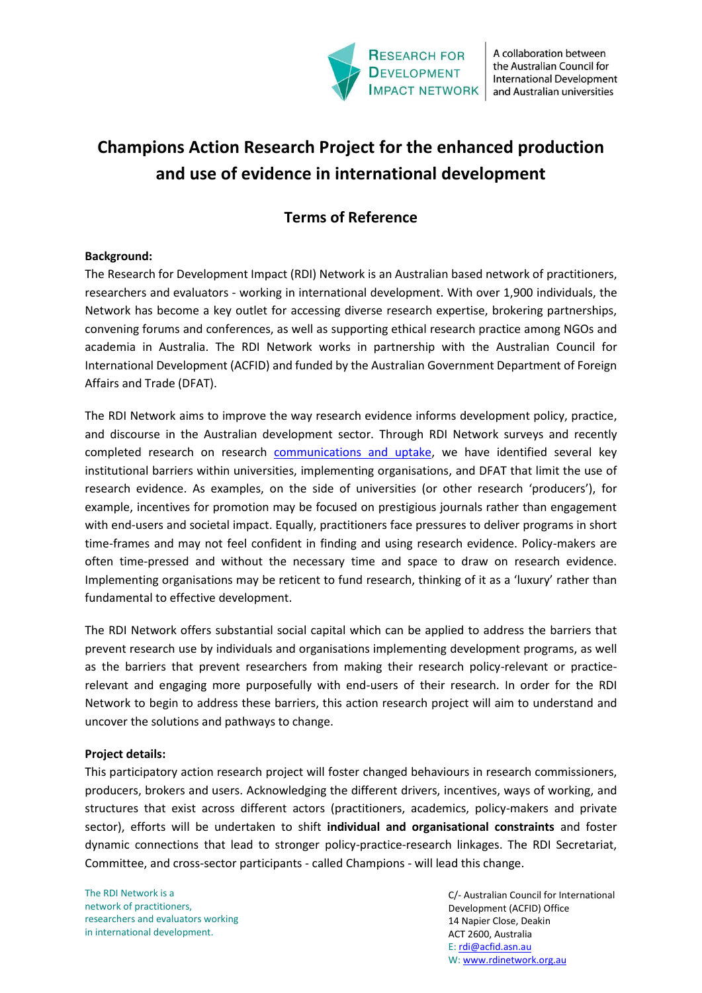

A collaboration between the Australian Council for **International Development** and Australian universities

# **Champions Action Research Project for the enhanced production and use of evidence in international development**

# **Terms of Reference**

# **Background:**

The Research for Development Impact (RDI) Network is an Australian based network of practitioners, researchers and evaluators - working in international development. With over 1,900 individuals, the Network has become a key outlet for accessing diverse research expertise, brokering partnerships, convening forums and conferences, as well as supporting ethical research practice among NGOs and academia in Australia. The RDI Network works in partnership with the Australian Council for International Development (ACFID) and funded by the Australian Government Department of Foreign Affairs and Trade (DFAT).

The RDI Network aims to improve the way research evidence informs development policy, practice, and discourse in the Australian development sector. Through RDI Network surveys and recently completed research on research [communications and uptake,](https://rdinetwork.org.au/resources/research-communication-and-uptake/) we have identified several key institutional barriers within universities, implementing organisations, and DFAT that limit the use of research evidence. As examples, on the side of universities (or other research 'producers'), for example, incentives for promotion may be focused on prestigious journals rather than engagement with end-users and societal impact. Equally, practitioners face pressures to deliver programs in short time-frames and may not feel confident in finding and using research evidence. Policy-makers are often time-pressed and without the necessary time and space to draw on research evidence. Implementing organisations may be reticent to fund research, thinking of it as a 'luxury' rather than fundamental to effective development.

The RDI Network offers substantial social capital which can be applied to address the barriers that prevent research use by individuals and organisations implementing development programs, as well as the barriers that prevent researchers from making their research policy-relevant or practicerelevant and engaging more purposefully with end-users of their research. In order for the RDI Network to begin to address these barriers, this action research project will aim to understand and uncover the solutions and pathways to change.

### **Project details:**

This participatory action research project will foster changed behaviours in research commissioners, producers, brokers and users. Acknowledging the different drivers, incentives, ways of working, and structures that exist across different actors (practitioners, academics, policy-makers and private sector), efforts will be undertaken to shift **individual and organisational constraints** and foster dynamic connections that lead to stronger policy-practice-research linkages. The RDI Secretariat, Committee, and cross-sector participants - called Champions - will lead this change.

The RDI Network is a network of practitioners, researchers and evaluators working in international development.

C/- Australian Council for International Development (ACFID) Office 14 Napier Close, Deakin ACT 2600, Australia E: [rdi@acfid.asn.au](mailto:rdi@acfid.asn.au) W[: www.rdinetwork.org.au](http://www.rdinetwork.org.au/)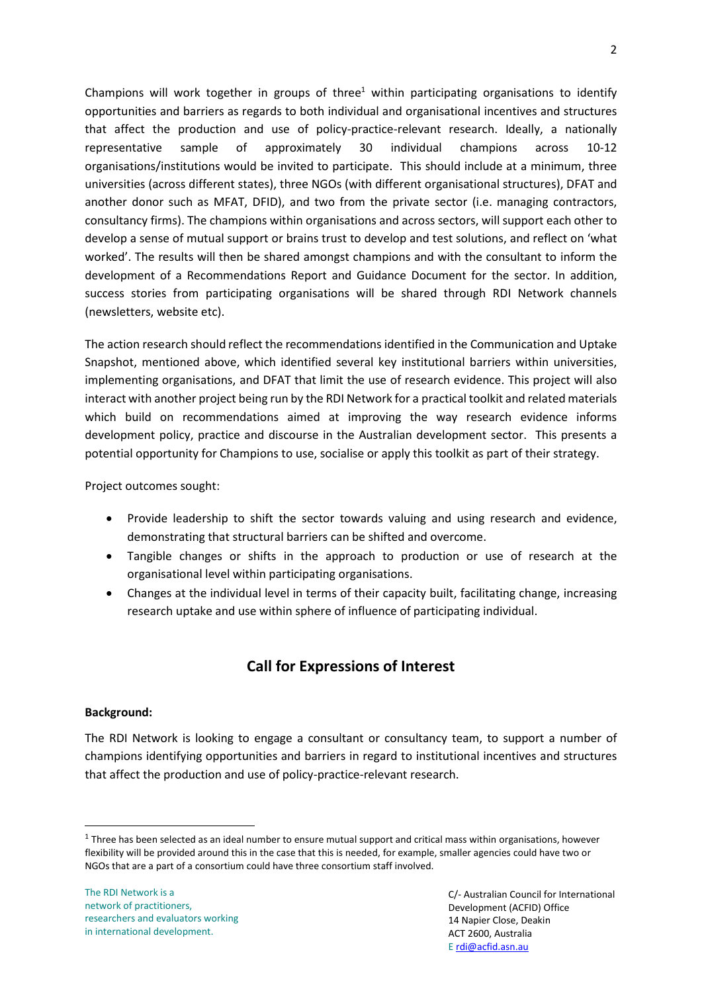Champions will work together in groups of three<sup>1</sup> within participating organisations to identify opportunities and barriers as regards to both individual and organisational incentives and structures that affect the production and use of policy-practice-relevant research. Ideally, a nationally representative sample of approximately 30 individual champions across 10-12 organisations/institutions would be invited to participate. This should include at a minimum, three universities (across different states), three NGOs (with different organisational structures), DFAT and another donor such as MFAT, DFID), and two from the private sector (i.e. managing contractors, consultancy firms). The champions within organisations and across sectors, will support each other to develop a sense of mutual support or brains trust to develop and test solutions, and reflect on 'what worked'. The results will then be shared amongst champions and with the consultant to inform the development of a Recommendations Report and Guidance Document for the sector. In addition, success stories from participating organisations will be shared through RDI Network channels (newsletters, website etc).

The action research should reflect the recommendations identified in the Communication and Uptake Snapshot, mentioned above, which identified several key institutional barriers within universities, implementing organisations, and DFAT that limit the use of research evidence. This project will also interact with another project being run by the RDI Network for a practical toolkit and related materials which build on recommendations aimed at improving the way research evidence informs development policy, practice and discourse in the Australian development sector. This presents a potential opportunity for Champions to use, socialise or apply this toolkit as part of their strategy.

Project outcomes sought:

- Provide leadership to shift the sector towards valuing and using research and evidence, demonstrating that structural barriers can be shifted and overcome.
- Tangible changes or shifts in the approach to production or use of research at the organisational level within participating organisations.
- Changes at the individual level in terms of their capacity built, facilitating change, increasing research uptake and use within sphere of influence of participating individual.

# **Call for Expressions of Interest**

# **Background:**

<u>.</u>

The RDI Network is looking to engage a consultant or consultancy team, to support a number of champions identifying opportunities and barriers in regard to institutional incentives and structures that affect the production and use of policy-practice-relevant research.

 $1$  Three has been selected as an ideal number to ensure mutual support and critical mass within organisations, however flexibility will be provided around this in the case that this is needed, for example, smaller agencies could have two or NGOs that are a part of a consortium could have three consortium staff involved.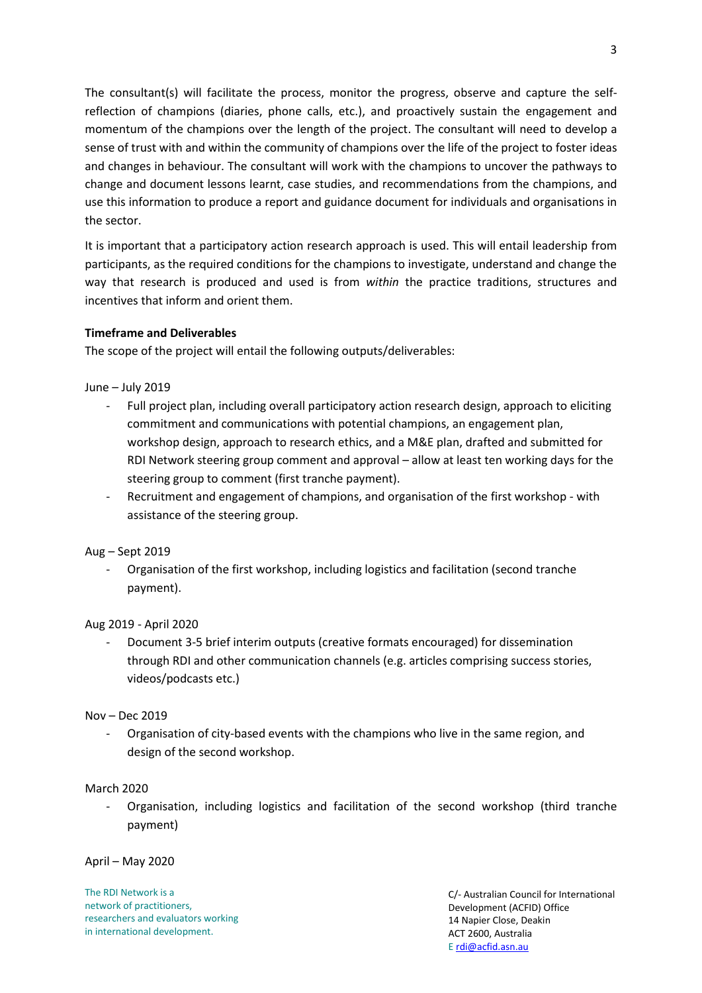The consultant(s) will facilitate the process, monitor the progress, observe and capture the selfreflection of champions (diaries, phone calls, etc.), and proactively sustain the engagement and momentum of the champions over the length of the project. The consultant will need to develop a sense of trust with and within the community of champions over the life of the project to foster ideas and changes in behaviour. The consultant will work with the champions to uncover the pathways to change and document lessons learnt, case studies, and recommendations from the champions, and use this information to produce a report and guidance document for individuals and organisations in the sector.

It is important that a participatory action research approach is used. This will entail leadership from participants, as the required conditions for the champions to investigate, understand and change the way that research is produced and used is from *within* the practice traditions, structures and incentives that inform and orient them.

# **Timeframe and Deliverables**

The scope of the project will entail the following outputs/deliverables:

June – July 2019

- Full project plan, including overall participatory action research design, approach to eliciting commitment and communications with potential champions, an engagement plan, workshop design, approach to research ethics, and a M&E plan, drafted and submitted for RDI Network steering group comment and approval – allow at least ten working days for the steering group to comment (first tranche payment).
- Recruitment and engagement of champions, and organisation of the first workshop with assistance of the steering group.

Aug – Sept 2019

- Organisation of the first workshop, including logistics and facilitation (second tranche payment).

Aug 2019 - April 2020

- Document 3-5 brief interim outputs (creative formats encouraged) for dissemination through RDI and other communication channels (e.g. articles comprising success stories, videos/podcasts etc.)

### Nov – Dec 2019

Organisation of city-based events with the champions who live in the same region, and design of the second workshop.

### March 2020

- Organisation, including logistics and facilitation of the second workshop (third tranche payment)

April – May 2020

The RDI Network is a network of practitioners, researchers and evaluators working in international development.

C/- Australian Council for International Development (ACFID) Office 14 Napier Close, Deakin ACT 2600, Australia E [rdi@acfid.asn.au](mailto:rdi@acfid.asn.au)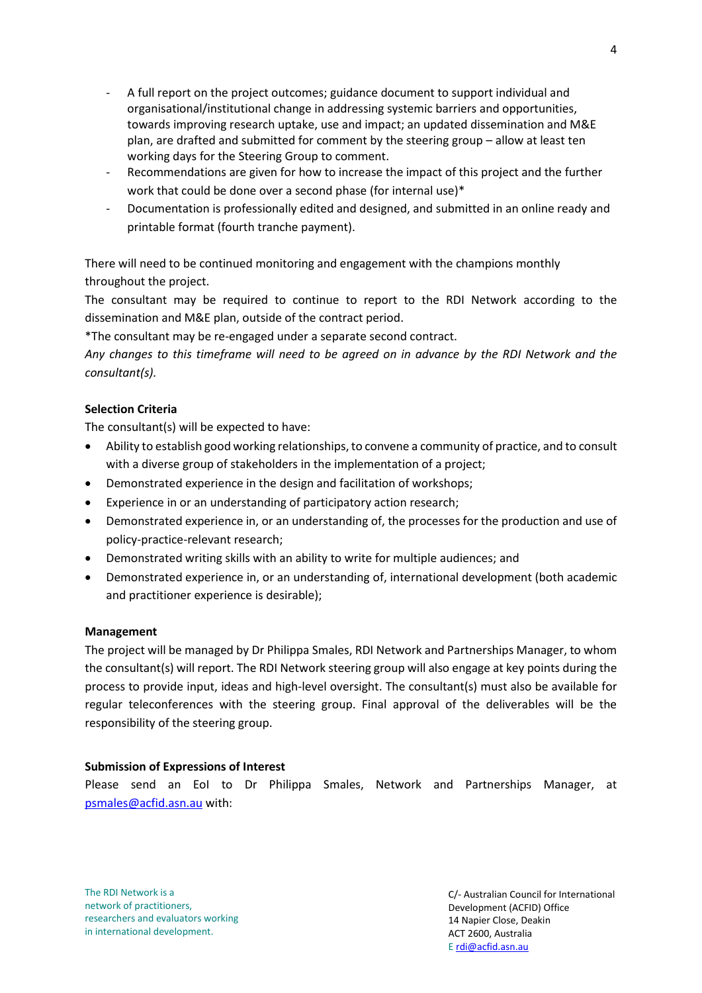- A full report on the project outcomes; guidance document to support individual and organisational/institutional change in addressing systemic barriers and opportunities, towards improving research uptake, use and impact; an updated dissemination and M&E plan, are drafted and submitted for comment by the steering group – allow at least ten working days for the Steering Group to comment.
- Recommendations are given for how to increase the impact of this project and the further work that could be done over a second phase (for internal use)\*
- Documentation is professionally edited and designed, and submitted in an online ready and printable format (fourth tranche payment).

There will need to be continued monitoring and engagement with the champions monthly throughout the project.

The consultant may be required to continue to report to the RDI Network according to the dissemination and M&E plan, outside of the contract period.

\*The consultant may be re-engaged under a separate second contract.

*Any changes to this timeframe will need to be agreed on in advance by the RDI Network and the consultant(s).* 

# **Selection Criteria**

The consultant(s) will be expected to have:

- Ability to establish good working relationships, to convene a community of practice, and to consult with a diverse group of stakeholders in the implementation of a project;
- Demonstrated experience in the design and facilitation of workshops;
- Experience in or an understanding of participatory action research;
- Demonstrated experience in, or an understanding of, the processes for the production and use of policy-practice-relevant research;
- Demonstrated writing skills with an ability to write for multiple audiences; and
- Demonstrated experience in, or an understanding of, international development (both academic and practitioner experience is desirable);

### **Management**

The project will be managed by Dr Philippa Smales, RDI Network and Partnerships Manager, to whom the consultant(s) will report. The RDI Network steering group will also engage at key points during the process to provide input, ideas and high-level oversight. The consultant(s) must also be available for regular teleconferences with the steering group. Final approval of the deliverables will be the responsibility of the steering group.

### **Submission of Expressions of Interest**

Please send an EoI to Dr Philippa Smales, Network and Partnerships Manager, at [psmales@acfid.asn.au](mailto:psmales@acfid.asn.au) with:

The RDI Network is a network of practitioners, researchers and evaluators working in international development.